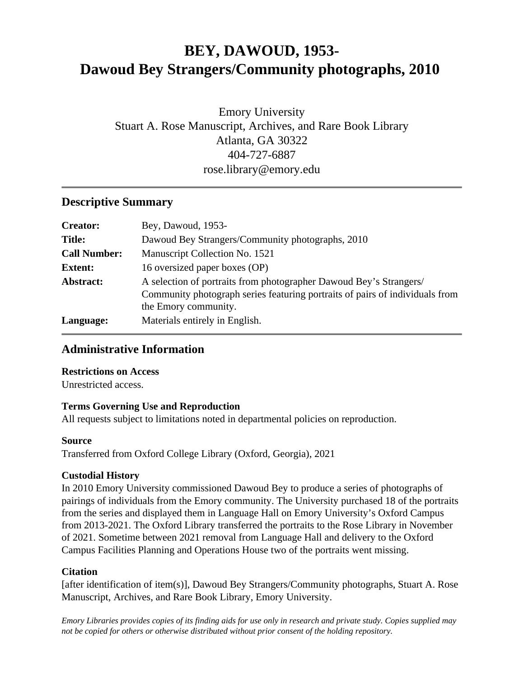# **BEY, DAWOUD, 1953- Dawoud Bey Strangers/Community photographs, 2010**

Emory University Stuart A. Rose Manuscript, Archives, and Rare Book Library Atlanta, GA 30322 404-727-6887 rose.library@emory.edu

#### **Descriptive Summary**

| <b>Creator:</b>     | Bey, Dawoud, 1953-                                                                                                                                                         |
|---------------------|----------------------------------------------------------------------------------------------------------------------------------------------------------------------------|
| <b>Title:</b>       | Dawoud Bey Strangers/Community photographs, 2010                                                                                                                           |
| <b>Call Number:</b> | Manuscript Collection No. 1521                                                                                                                                             |
| <b>Extent:</b>      | 16 oversized paper boxes (OP)                                                                                                                                              |
| Abstract:           | A selection of portraits from photographer Dawoud Bey's Strangers/<br>Community photograph series featuring portraits of pairs of individuals from<br>the Emory community. |
| Language:           | Materials entirely in English.                                                                                                                                             |

#### **Administrative Information**

#### **Restrictions on Access**

Unrestricted access.

#### **Terms Governing Use and Reproduction**

All requests subject to limitations noted in departmental policies on reproduction.

#### **Source**

Transferred from Oxford College Library (Oxford, Georgia), 2021

#### **Custodial History**

In 2010 Emory University commissioned Dawoud Bey to produce a series of photographs of pairings of individuals from the Emory community. The University purchased 18 of the portraits from the series and displayed them in Language Hall on Emory University's Oxford Campus from 2013-2021. The Oxford Library transferred the portraits to the Rose Library in November of 2021. Sometime between 2021 removal from Language Hall and delivery to the Oxford Campus Facilities Planning and Operations House two of the portraits went missing.

#### **Citation**

[after identification of item(s)], Dawoud Bey Strangers/Community photographs, Stuart A. Rose Manuscript, Archives, and Rare Book Library, Emory University.

*Emory Libraries provides copies of its finding aids for use only in research and private study. Copies supplied may not be copied for others or otherwise distributed without prior consent of the holding repository.*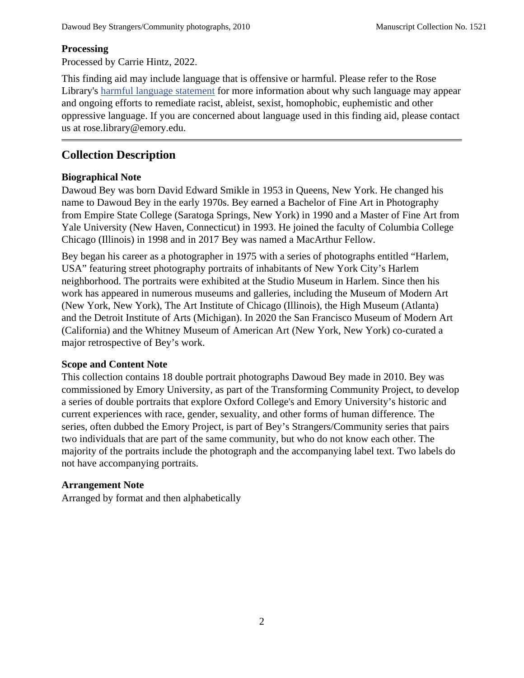#### **Processing**

Processed by Carrie Hintz, 2022.

This finding aid may include language that is offensive or harmful. Please refer to the Rose Library's [harmful language statement](https://rose.library.emory.edu/about/harmful-language.html) for more information about why such language may appear and ongoing efforts to remediate racist, ableist, sexist, homophobic, euphemistic and other oppressive language. If you are concerned about language used in this finding aid, please contact us at rose.library@emory.edu.

### **Collection Description**

#### **Biographical Note**

Dawoud Bey was born David Edward Smikle in 1953 in Queens, New York. He changed his name to Dawoud Bey in the early 1970s. Bey earned a Bachelor of Fine Art in Photography from Empire State College (Saratoga Springs, New York) in 1990 and a Master of Fine Art from Yale University (New Haven, Connecticut) in 1993. He joined the faculty of Columbia College Chicago (Illinois) in 1998 and in 2017 Bey was named a MacArthur Fellow.

Bey began his career as a photographer in 1975 with a series of photographs entitled "Harlem, USA" featuring street photography portraits of inhabitants of New York City's Harlem neighborhood. The portraits were exhibited at the Studio Museum in Harlem. Since then his work has appeared in numerous museums and galleries, including the Museum of Modern Art (New York, New York), The Art Institute of Chicago (Illinois), the High Museum (Atlanta) and the Detroit Institute of Arts (Michigan). In 2020 the San Francisco Museum of Modern Art (California) and the Whitney Museum of American Art (New York, New York) co-curated a major retrospective of Bey's work.

#### **Scope and Content Note**

This collection contains 18 double portrait photographs Dawoud Bey made in 2010. Bey was commissioned by Emory University, as part of the Transforming Community Project, to develop a series of double portraits that explore Oxford College's and Emory University's historic and current experiences with race, gender, sexuality, and other forms of human difference. The series, often dubbed the Emory Project, is part of Bey's Strangers/Community series that pairs two individuals that are part of the same community, but who do not know each other. The majority of the portraits include the photograph and the accompanying label text. Two labels do not have accompanying portraits.

#### **Arrangement Note**

Arranged by format and then alphabetically